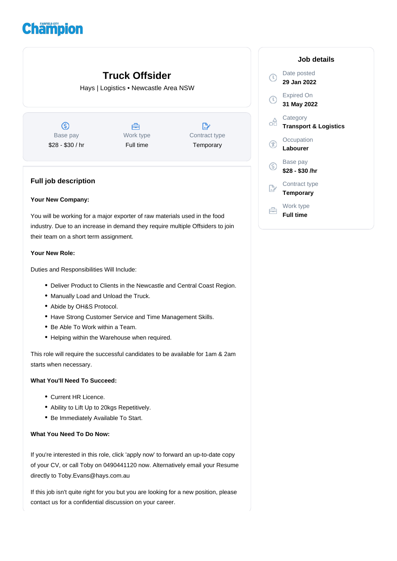# **Champion**

| <b>Truck Offsider</b><br>Hays   Logistics • Newcastle Area NSW |                        |                            |             | Date<br>29.            |
|----------------------------------------------------------------|------------------------|----------------------------|-------------|------------------------|
|                                                                |                        |                            |             | Exp<br>31 <sub>1</sub> |
| G)                                                             | e                      | $\mathbb{D}$               | œ           | Cat<br>Traı            |
| Base pay<br>\$28 - \$30 / hr                                   | Work type<br>Full time | Contract type<br>Temporary | Œ           | Occ<br>Lab             |
|                                                                |                        |                            | $\circledS$ | <b>Bas</b><br>\$28     |
| <b>Full job description</b>                                    |                        |                            |             | Con<br>Ten             |

#### **Your New Company:**

You will be working for a major exporter of raw materials used in the food industry. Due to an increase in demand they require multiple Offsiders to join their team on a short term assignment.

#### **Your New Role:**

Duties and Responsibilities Will Include:

- Deliver Product to Clients in the Newcastle and Central Coast Region.
- Manually Load and Unload the Truck.
- Abide by OH&S Protocol.
- Have Strong Customer Service and Time Management Skills.
- Be Able To Work within a Team.
- Helping within the Warehouse when required.

This role will require the successful candidates to be available for 1am & 2am starts when necessary.

## **What You'll Need To Succeed:**

- Current HR Licence.
- Ability to Lift Up to 20kgs Repetitively.
- Be Immediately Available To Start.

## **What You Need To Do Now:**

If you're interested in this role, click 'apply now' to forward an up-to-date copy of your CV, or call Toby on 0490441120 now. Alternatively email your Resume directly to Toby.Evans@hays.com.au

If this job isn't quite right for you but you are looking for a new position, please contact us for a confidential discussion on your career.

# **Job details** e posted **29 Jan 2022 Priced On 31 May 2022** egory **Transport & Logistics** cupation **Dourer** se pay **\$28 - \$30 /hr** tract type **Temporary** Work type 合 **Full time**